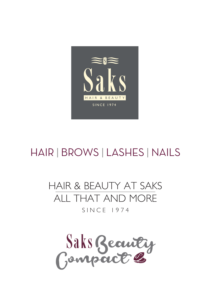

# HAIR | BROWS | LASHES | NAILS

## HAIR & BEAUTY AT SAKS ALL THAT AND MORE  $S IN C F 1974$

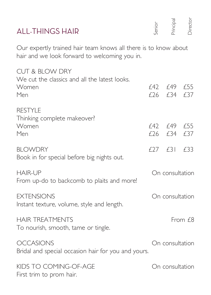| <b>ALL-THINGS HAIR</b>                                                                                           | ienior | <sup>h</sup> rincipal    | <b>Director</b> |
|------------------------------------------------------------------------------------------------------------------|--------|--------------------------|-----------------|
| Our expertly trained hair team knows all there is to know about<br>hair and we look forward to welcoming you in. |        |                          |                 |
| <b>CUT &amp; BLOW DRY</b><br>We cut the classics and all the latest looks.<br>Women<br>Men                       |        | f42 f49 f55<br>f 26 f 34 | £37             |
| <b>RESTYLE</b><br>Thinking complete makeover?<br>Women<br>Men                                                    |        | £42 £49 £55<br>£26 £34   | £37             |
| <b>BLOWDRY</b><br>Book in for special before big nights out.                                                     |        | $£27$ $£31$              | £33             |
| <b>HAIR-UP</b><br>From up-do to backcomb to plaits and more!                                                     |        | On consultation          |                 |
| <b>EXTENSIONS</b><br>Instant texture, volume, style and length.                                                  |        | On consultation          |                 |
| <b>HAIR TREATMENTS</b><br>To nourish, smooth, tame or tingle.                                                    |        |                          | From $f8$       |
| <b>OCCASIONS</b><br>Bridal and special occasion hair for you and yours.                                          |        | On consultation          |                 |
| KIDS TO COMING-OF-AGE<br>First trim to prom hair.                                                                |        | On consultation          |                 |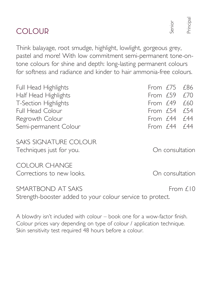| Full Head Highlights                                                           | From $f75$      | £86        |
|--------------------------------------------------------------------------------|-----------------|------------|
| Half Head Highlights                                                           | From $f59$      | f70        |
| T-Section Highlights                                                           | From $f$ 49     | £60        |
| <b>Full Head Colour</b>                                                        | From $f$ 54     | f 54       |
| Regrowth Colour                                                                | From £44        | f 44       |
| Semi-permanent Colour                                                          | From £44        | f 44       |
| SAKS SIGNATURE COLOUR<br>Techniques just for you.                              | On consultation |            |
| COLOUR CHANGE<br>Corrections to new looks.                                     | On consultation |            |
| SMARTBOND AT SAKS<br>Strength-booster added to your colour service to protect. |                 | From $f10$ |

Think balayage, root smudge, highlight, lowlight, gorgeous grey, pastel and more! With low commitment semi-permanent tone-ontone colours for shine and depth: long-lasting permanent colours for softness and radiance and kinder to hair ammonia-free colours.

| A blowdry isn't included with colour – book one for a wow-factor finish. |
|--------------------------------------------------------------------------|
| Colour prices vary depending on type of colour / application technique.  |
| Skin sensitivity test required 48 hours before a colour.                 |

## COLOUR

Senior Principal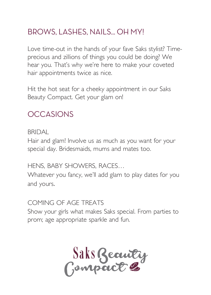## BROWS, LASHES, NAILS. OH MY!

Love time-out in the hands of your fave Saks stylist? Timeprecious and zillions of things you could be doing? We hear you. That's why we're here to make your coveted hair appointments twice as nice.

Hit the hot seat for a cheeky appointment in our Saks Beauty Compact. Get your glam on!

## **OCCASIONS**

#### **BRIDAL**

Hair and glam! Involve us as much as you want for your special day. Bridesmaids, mums and mates too.

HENS, BABY SHOWERS, RACES…

Whatever you fancy, we'll add glam to play dates for you and yours.

#### COMING OF AGE TREATS

Show your girls what makes Saks special. From parties to prom; age appropriate sparkle and fun.

Saks Beauty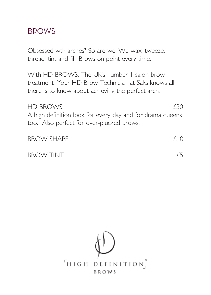## **BROWS**

Obsessed wth arches? So are we! We wax, tweeze, thread, tint and fill. Brows on point every time.

With HD BROWS. The UK's number 1 salon brow treatment. Your HD Brow Technician at Saks knows all there is to know about achieving the perfect arch.

#### $HD$  BROWS  $f30$

A high definition look for every day and for drama queens too. Also perfect for over-plucked brows.

| <b>BROW SHAPE</b> | f(0) |
|-------------------|------|
| <b>BROW TINT</b>  | £5   |

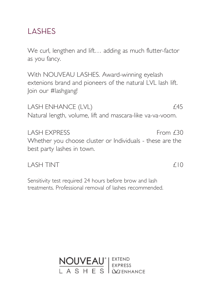## LASHES

We curl, lengthen and lift... adding as much flutter-factor as you fancy.

With NOUVEAU LASHES. Award-winning eyelash extenions brand and pioneers of the natural LVL lash lift. Join our #lashgang!

LASH ENHANCE (LVL)  $£45$ Natural length, volume, lift and mascara-like va-va-voom.

LASH EXPRESS From £30 Whether you choose cluster or Individuals - these are the best party lashes in town.

 $\overline{1}$  ASH TINT  $\overline{10}$ 

Sensitivity test required 24 hours before brow and lash treatments. Professional removal of lashes recommended.

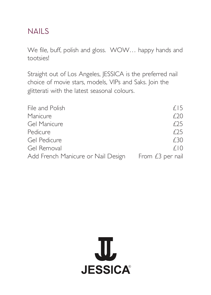### NAILS

We file, buff, polish and gloss. WOW… happy hands and tootsies!

Straight out of Los Angeles, JESSICA is the preferred nail choice of movie stars, models, VIPs and Saks. Join the glitterati with the latest seasonal colours.

| File and Polish                    | f15              |
|------------------------------------|------------------|
| Manicure                           | f 20             |
| Gel Manicure                       | f25              |
| Pedicure                           | f25              |
| Gel Pedicure                       | £30              |
| Gel Removal                        | f(0)             |
| Add French Manicure or Nail Design | From £3 per nail |